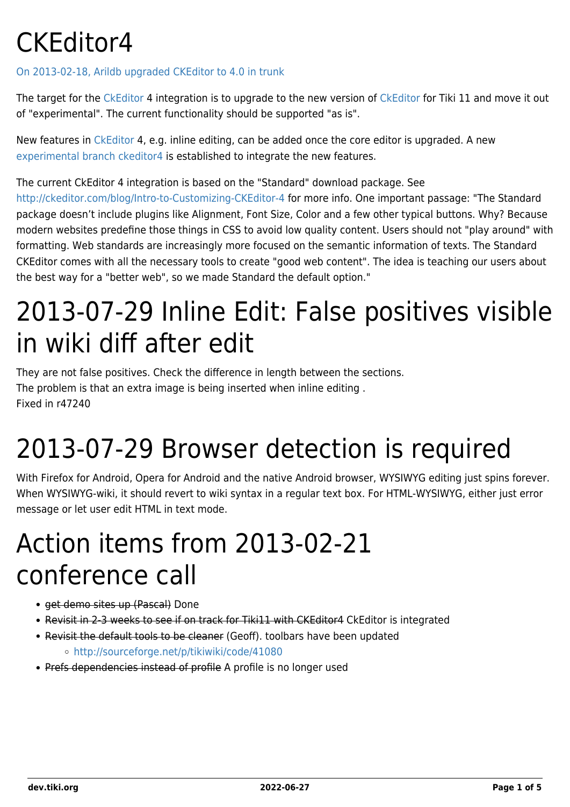## CKEditor4

#### [On 2013-02-18, Arildb upgraded CKEditor to 4.0 in trunk](https://sourceforge.net/p/tikiwiki/code/44920)

The target for the [CkEditor](http://ckeditor.com/demo) 4 integration is to upgrade to the new version of [CkEditor](http://ckeditor.com/demo) for Tiki 11 and move it out of "experimental". The current functionality should be supported "as is".

New features in [CkEditor](http://ckeditor.com/demo) 4, e.g. inline editing, can be added once the core editor is upgraded. A new [experimental branch ckeditor4](https://dev.tiki.org/ExperimentalBranches-ckeditor4) is established to integrate the new features.

The current CkEditor 4 integration is based on the "Standard" download package. See

<http://ckeditor.com/blog/Intro-to-Customizing-CKEditor-4>for more info. One important passage: "The Standard package doesn't include plugins like Alignment, Font Size, Color and a few other typical buttons. Why? Because modern websites predefine those things in CSS to avoid low quality content. Users should not "play around" with formatting. Web standards are increasingly more focused on the semantic information of texts. The Standard CKEditor comes with all the necessary tools to create "good web content". The idea is teaching our users about the best way for a "better web", so we made Standard the default option."

## 2013-07-29 Inline Edit: False positives visible in wiki diff after edit

They are not false positives. Check the difference in length between the sections. The problem is that an extra image is being inserted when inline editing . Fixed in r47240

## 2013-07-29 Browser detection is required

With Firefox for Android, Opera for Android and the native Android browser, WYSIWYG editing just spins forever. When WYSIWYG-wiki, it should revert to wiki syntax in a regular text box. For HTML-WYSIWYG, either just error message or let user edit HTML in text mode.

## Action items from 2013-02-21 conference call

- get demo sites up (Pascal) Done
- Revisit in 2-3 weeks to see if on track for Tiki11 with CKEditor4 CkEditor is integrated
- Revisit the default tools to be cleaner (Geoff). toolbars have been updated
	- <http://sourceforge.net/p/tikiwiki/code/41080>
- Prefs dependencies instead of profile A profile is no longer used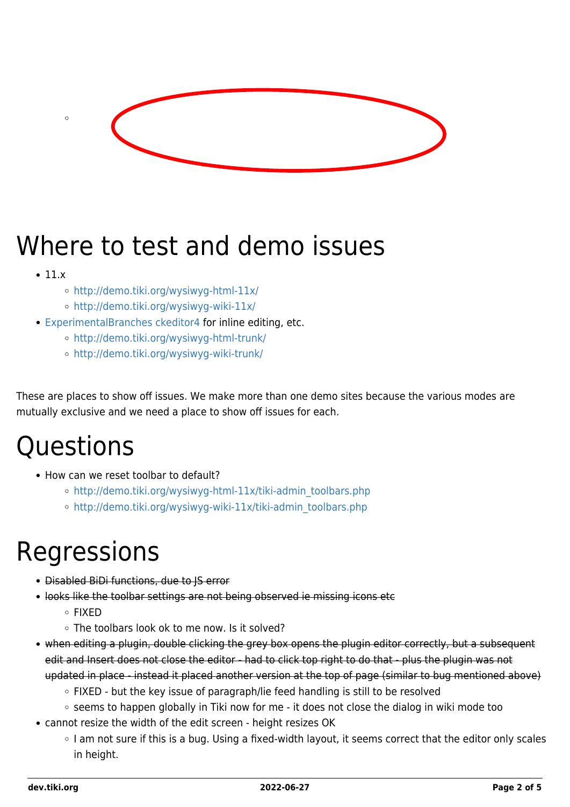

## Where to test and demo issues

 $• 11.x$ 

 $\epsilon$ 

- <http://demo.tiki.org/wysiwyg-html-11x/>
- <http://demo.tiki.org/wysiwyg-wiki-11x/>
- [ExperimentalBranches ckeditor4](https://dev.tiki.org/ExperimentalBranches-ckeditor4) for inline editing, etc.
	- <http://demo.tiki.org/wysiwyg-html-trunk/>
	- <http://demo.tiki.org/wysiwyg-wiki-trunk/>

These are places to show off issues. We make more than one demo sites because the various modes are mutually exclusive and we need a place to show off issues for each.

### Questions

- How can we reset toolbar to default?
	- o [http://demo.tiki.org/wysiwyg-html-11x/tiki-admin\\_toolbars.php](http://demo.tiki.org/wysiwyg-html-11x/tiki-admin_toolbars.php)
	- o [http://demo.tiki.org/wysiwyg-wiki-11x/tiki-admin\\_toolbars.php](http://demo.tiki.org/wysiwyg-wiki-11x/tiki-admin_toolbars.php)

#### Regressions

- **Disabled BiDi functions, due to IS error**
- looks like the toolbar settings are not being observed ie missing icons etc
	- $\circ$  FIXED
	- The toolbars look ok to me now. Is it solved?
- when editing a plugin, double clicking the grey box opens the plugin editor correctly, but a subsequent edit and Insert does not close the editor - had to click top right to do that - plus the plugin was not updated in place - instead it placed another version at the top of page (similar to bug mentioned above)
	- FIXED but the key issue of paragraph/lie feed handling is still to be resolved
	- $\circ$  seems to happen globally in Tiki now for me it does not close the dialog in wiki mode too
- cannot resize the width of the edit screen height resizes OK
	- o I am not sure if this is a bug. Using a fixed-width layout, it seems correct that the editor only scales in height.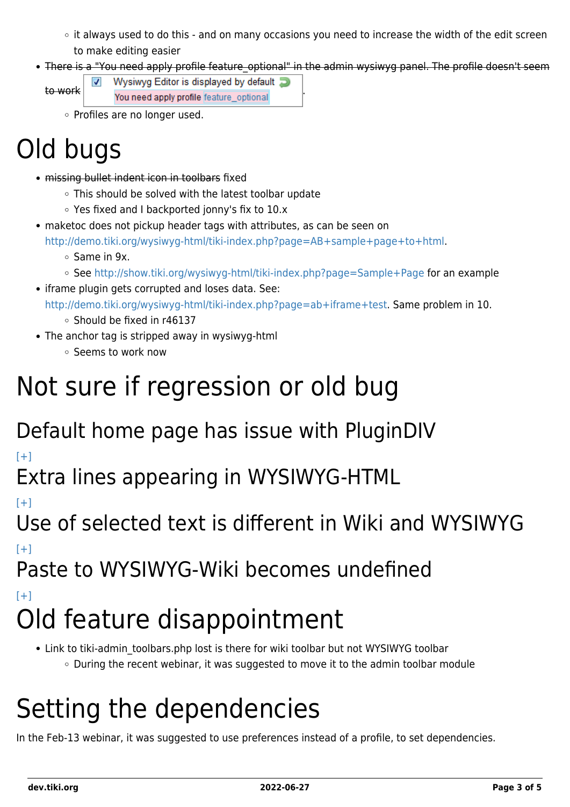- $\circ$  it always used to do this and on many occasions you need to increase the width of the edit screen to make editing easier
- There is a "You need apply profile feature optional" in the admin wysiwyg panel. The profile doesn't seem

EXTE Wysiwyg Editor is displayed by default  $\overline{z}$  to work You need apply profile feature optional  $\overline{\mathbf{v}}$ 

Profiles are no longer used.

# Old bugs

- missing bullet indent icon in toolbars fixed
	- This should be solved with the latest toolbar update
	- Yes fixed and I backported jonny's fix to 10.x
- maketoc does not pickup header tags with attributes, as can be seen on

<http://demo.tiki.org/wysiwyg-html/tiki-index.php?page=AB+sample+page+to+html>.

- Same in 9x.
- See <http://show.tiki.org/wysiwyg-html/tiki-index.php?page=Sample+Page> for an example
- iframe plugin gets corrupted and loses data. See: <http://demo.tiki.org/wysiwyg-html/tiki-index.php?page=ab+iframe+test>. Same problem in 10.
	- Should be fixed in r46137
- The anchor tag is stripped away in wysiwyg-html
	- Seems to work now

### Not sure if regression or old bug

#### Default home page has issue with PluginDIV

 $[+]$ 

Extra lines appearing in WYSIWYG-HTML

 $[+]$ 

Use of selected text is different in Wiki and WYSIWYG  $[+]$ 

Paste to WYSIWYG-Wiki becomes undefined

 $[+]$ 

# Old feature disappointment

• Link to tiki-admin toolbars.php lost is there for wiki toolbar but not WYSIWYG toolbar  $\circ$  During the recent webinar, it was suggested to move it to the admin toolbar module

## Setting the dependencies

In the Feb-13 webinar, it was suggested to use preferences instead of a profile, to set dependencies.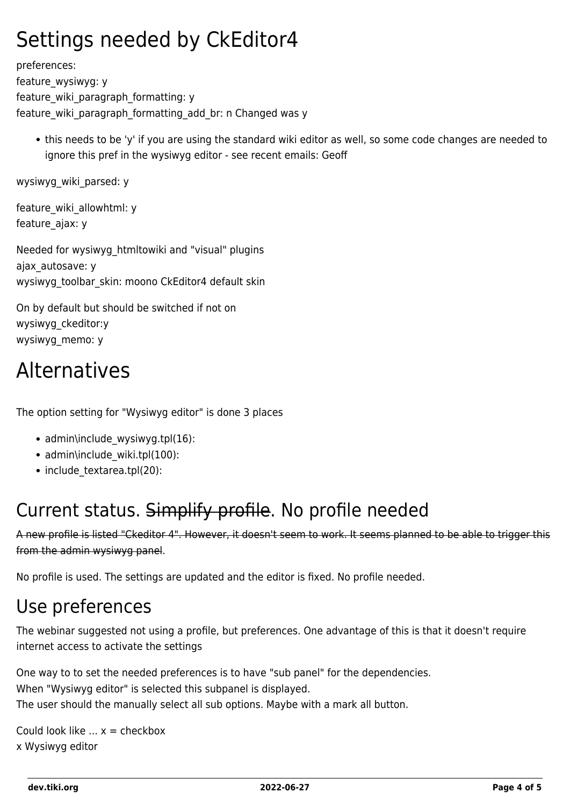#### Settings needed by CkEditor4

preferences: feature\_wysiwyg: y feature\_wiki\_paragraph\_formatting: y feature wiki paragraph formatting add br: n Changed was y

this needs to be 'y' if you are using the standard wiki editor as well, so some code changes are needed to ignore this pref in the wysiwyg editor - see recent emails: Geoff

wysiwyg\_wiki\_parsed: y

feature wiki allowhtml: y feature\_ajax: y

Needed for wysiwyg\_htmltowiki and "visual" plugins ajax\_autosave: y wysiwyg\_toolbar\_skin: moono CkEditor4 default skin

On by default but should be switched if not on wysiwyg\_ckeditor:y wysiwyg\_memo: y

#### Alternatives

The option setting for "Wysiwyg editor" is done 3 places

- admin\include wysiwyg.tpl(16):
- admin\include\_wiki.tpl(100):
- include textarea.tpl(20):

#### Current status. Simplify profile. No profile needed

A new profile is listed "Ckeditor 4". However, it doesn't seem to work. It seems planned to be able to trigger this from the admin wysiwyg panel.

No profile is used. The settings are updated and the editor is fixed. No profile needed.

#### Use preferences

The webinar suggested not using a profile, but preferences. One advantage of this is that it doesn't require internet access to activate the settings

One way to to set the needed preferences is to have "sub panel" for the dependencies. When "Wysiwyg editor" is selected this subpanel is displayed. The user should the manually select all sub options. Maybe with a mark all button.

Could look like  $\ldots$   $x =$  checkbox x Wysiwyg editor